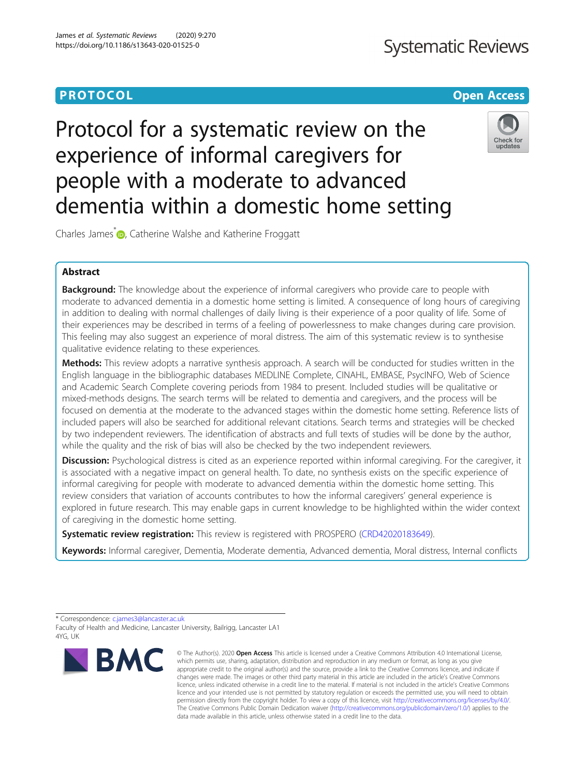# **Systematic Reviews**

# **PROTOCOL CONSUMING THE CONSUMING TEACHER CONSUMING THE CONSUMING TEACHER CONSUMING THE CONSUMING TEACHER CONSUMING**



Protocol for a systematic review on the experience of informal caregivers for people with a moderate to advanced dementia within a domestic home setting

Charles James<sup>\*</sup> <sub>(b)</sub>, Catherine Walshe and Katherine Froggatt

# Abstract

**Background:** The knowledge about the experience of informal caregivers who provide care to people with moderate to advanced dementia in a domestic home setting is limited. A consequence of long hours of caregiving in addition to dealing with normal challenges of daily living is their experience of a poor quality of life. Some of their experiences may be described in terms of a feeling of powerlessness to make changes during care provision. This feeling may also suggest an experience of moral distress. The aim of this systematic review is to synthesise qualitative evidence relating to these experiences.

Methods: This review adopts a narrative synthesis approach. A search will be conducted for studies written in the English language in the bibliographic databases MEDLINE Complete, CINAHL, EMBASE, PsycINFO, Web of Science and Academic Search Complete covering periods from 1984 to present. Included studies will be qualitative or mixed-methods designs. The search terms will be related to dementia and caregivers, and the process will be focused on dementia at the moderate to the advanced stages within the domestic home setting. Reference lists of included papers will also be searched for additional relevant citations. Search terms and strategies will be checked by two independent reviewers. The identification of abstracts and full texts of studies will be done by the author, while the quality and the risk of bias will also be checked by the two independent reviewers.

Discussion: Psychological distress is cited as an experience reported within informal caregiving. For the caregiver, it is associated with a negative impact on general health. To date, no synthesis exists on the specific experience of informal caregiving for people with moderate to advanced dementia within the domestic home setting. This review considers that variation of accounts contributes to how the informal caregivers' general experience is explored in future research. This may enable gaps in current knowledge to be highlighted within the wider context of caregiving in the domestic home setting.

Systematic review registration: This review is registered with PROSPERO [\(CRD42020183649](https://www.crd.york.ac.uk/PROSPERO/display_record.php?ID=CRD42020183649)).

Keywords: Informal caregiver, Dementia, Moderate dementia, Advanced dementia, Moral distress, Internal conflicts

\* Correspondence: [c.james3@lancaster.ac.uk](mailto:c.james3@lancaster.ac.uk)

Faculty of Health and Medicine, Lancaster University, Bailrigg, Lancaster LA1 4YG, UK



<sup>©</sup> The Author(s), 2020 **Open Access** This article is licensed under a Creative Commons Attribution 4.0 International License, which permits use, sharing, adaptation, distribution and reproduction in any medium or format, as long as you give appropriate credit to the original author(s) and the source, provide a link to the Creative Commons licence, and indicate if changes were made. The images or other third party material in this article are included in the article's Creative Commons licence, unless indicated otherwise in a credit line to the material. If material is not included in the article's Creative Commons licence and your intended use is not permitted by statutory regulation or exceeds the permitted use, you will need to obtain permission directly from the copyright holder. To view a copy of this licence, visit [http://creativecommons.org/licenses/by/4.0/.](http://creativecommons.org/licenses/by/4.0/) The Creative Commons Public Domain Dedication waiver [\(http://creativecommons.org/publicdomain/zero/1.0/](http://creativecommons.org/publicdomain/zero/1.0/)) applies to the data made available in this article, unless otherwise stated in a credit line to the data.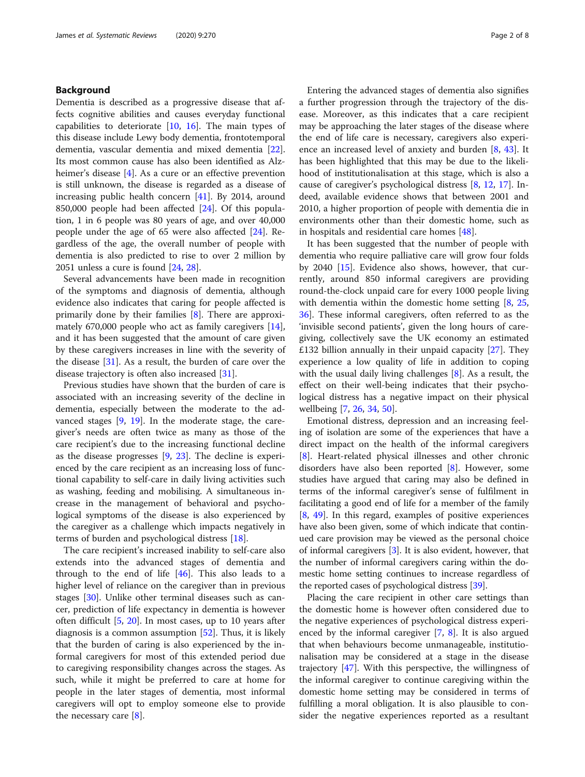#### Background

Dementia is described as a progressive disease that affects cognitive abilities and causes everyday functional capabilities to deteriorate  $[10, 16]$  $[10, 16]$  $[10, 16]$  $[10, 16]$  $[10, 16]$ . The main types of this disease include Lewy body dementia, frontotemporal dementia, vascular dementia and mixed dementia [\[22](#page-6-0)]. Its most common cause has also been identified as Alz-heimer's disease [\[4\]](#page-6-0). As a cure or an effective prevention is still unknown, the disease is regarded as a disease of increasing public health concern [\[41](#page-7-0)]. By 2014, around 850,000 people had been affected [[24\]](#page-6-0). Of this population, 1 in 6 people was 80 years of age, and over 40,000 people under the age of 65 were also affected [\[24](#page-6-0)]. Regardless of the age, the overall number of people with dementia is also predicted to rise to over 2 million by 2051 unless a cure is found [[24,](#page-6-0) [28\]](#page-6-0).

Several advancements have been made in recognition of the symptoms and diagnosis of dementia, although evidence also indicates that caring for people affected is primarily done by their families [[8\]](#page-6-0). There are approximately 670,000 people who act as family caregivers [\[14](#page-6-0)], and it has been suggested that the amount of care given by these caregivers increases in line with the severity of the disease  $[31]$  $[31]$ . As a result, the burden of care over the disease trajectory is often also increased [\[31](#page-6-0)].

Previous studies have shown that the burden of care is associated with an increasing severity of the decline in dementia, especially between the moderate to the advanced stages [\[9](#page-6-0), [19\]](#page-6-0). In the moderate stage, the caregiver's needs are often twice as many as those of the care recipient's due to the increasing functional decline as the disease progresses [\[9,](#page-6-0) [23\]](#page-6-0). The decline is experienced by the care recipient as an increasing loss of functional capability to self-care in daily living activities such as washing, feeding and mobilising. A simultaneous increase in the management of behavioral and psychological symptoms of the disease is also experienced by the caregiver as a challenge which impacts negatively in terms of burden and psychological distress [[18\]](#page-6-0).

The care recipient's increased inability to self-care also extends into the advanced stages of dementia and through to the end of life  $[46]$  $[46]$ . This also leads to a higher level of reliance on the caregiver than in previous stages [[30\]](#page-6-0). Unlike other terminal diseases such as cancer, prediction of life expectancy in dementia is however often difficult [[5,](#page-6-0) [20](#page-6-0)]. In most cases, up to 10 years after diagnosis is a common assumption [[52\]](#page-7-0). Thus, it is likely that the burden of caring is also experienced by the informal caregivers for most of this extended period due to caregiving responsibility changes across the stages. As such, while it might be preferred to care at home for people in the later stages of dementia, most informal caregivers will opt to employ someone else to provide the necessary care [\[8](#page-6-0)].

Entering the advanced stages of dementia also signifies a further progression through the trajectory of the disease. Moreover, as this indicates that a care recipient may be approaching the later stages of the disease where the end of life care is necessary, caregivers also experience an increased level of anxiety and burden [[8,](#page-6-0) [43](#page-7-0)]. It has been highlighted that this may be due to the likelihood of institutionalisation at this stage, which is also a cause of caregiver's psychological distress [\[8](#page-6-0), [12](#page-6-0), [17\]](#page-6-0). Indeed, available evidence shows that between 2001 and 2010, a higher proportion of people with dementia die in environments other than their domestic home, such as in hospitals and residential care homes [\[48](#page-7-0)].

It has been suggested that the number of people with dementia who require palliative care will grow four folds by 2040 [\[15](#page-6-0)]. Evidence also shows, however, that currently, around 850 informal caregivers are providing round-the-clock unpaid care for every 1000 people living with dementia within the domestic home setting [[8,](#page-6-0) [25](#page-6-0), [36\]](#page-6-0). These informal caregivers, often referred to as the 'invisible second patients', given the long hours of caregiving, collectively save the UK economy an estimated £132 billion annually in their unpaid capacity  $[27]$  $[27]$ . They experience a low quality of life in addition to coping with the usual daily living challenges [[8](#page-6-0)]. As a result, the effect on their well-being indicates that their psychological distress has a negative impact on their physical wellbeing [\[7](#page-6-0), [26](#page-6-0), [34](#page-6-0), [50](#page-7-0)].

Emotional distress, depression and an increasing feeling of isolation are some of the experiences that have a direct impact on the health of the informal caregivers [[8\]](#page-6-0). Heart-related physical illnesses and other chronic disorders have also been reported [\[8](#page-6-0)]. However, some studies have argued that caring may also be defined in terms of the informal caregiver's sense of fulfilment in facilitating a good end of life for a member of the family [[8,](#page-6-0) [49\]](#page-7-0). In this regard, examples of positive experiences have also been given, some of which indicate that continued care provision may be viewed as the personal choice of informal caregivers [[3\]](#page-6-0). It is also evident, however, that the number of informal caregivers caring within the domestic home setting continues to increase regardless of the reported cases of psychological distress [[39](#page-6-0)].

Placing the care recipient in other care settings than the domestic home is however often considered due to the negative experiences of psychological distress experienced by the informal caregiver [\[7](#page-6-0), [8](#page-6-0)]. It is also argued that when behaviours become unmanageable, institutionalisation may be considered at a stage in the disease trajectory [[47\]](#page-7-0). With this perspective, the willingness of the informal caregiver to continue caregiving within the domestic home setting may be considered in terms of fulfilling a moral obligation. It is also plausible to consider the negative experiences reported as a resultant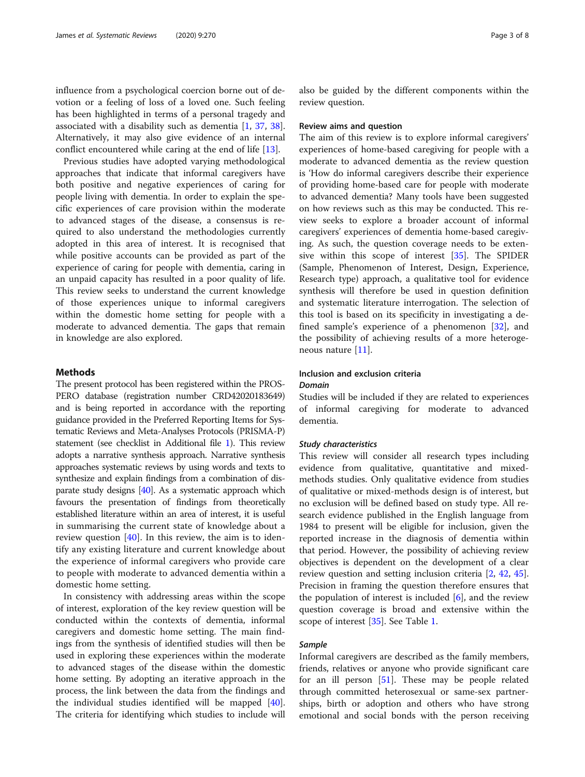influence from a psychological coercion borne out of devotion or a feeling of loss of a loved one. Such feeling has been highlighted in terms of a personal tragedy and associated with a disability such as dementia [\[1](#page-6-0), [37,](#page-6-0) [38](#page-6-0)]. Alternatively, it may also give evidence of an internal conflict encountered while caring at the end of life [\[13](#page-6-0)].

Previous studies have adopted varying methodological approaches that indicate that informal caregivers have both positive and negative experiences of caring for people living with dementia. In order to explain the specific experiences of care provision within the moderate to advanced stages of the disease, a consensus is required to also understand the methodologies currently adopted in this area of interest. It is recognised that while positive accounts can be provided as part of the experience of caring for people with dementia, caring in an unpaid capacity has resulted in a poor quality of life. This review seeks to understand the current knowledge of those experiences unique to informal caregivers within the domestic home setting for people with a moderate to advanced dementia. The gaps that remain in knowledge are also explored.

#### Methods

The present protocol has been registered within the PROS-PERO database (registration number CRD42020183649) and is being reported in accordance with the reporting guidance provided in the Preferred Reporting Items for Systematic Reviews and Meta-Analyses Protocols (PRISMA-P) statement (see checklist in Additional file [1](#page-5-0)). This review adopts a narrative synthesis approach. Narrative synthesis approaches systematic reviews by using words and texts to synthesize and explain findings from a combination of disparate study designs [\[40](#page-7-0)]. As a systematic approach which favours the presentation of findings from theoretically established literature within an area of interest, it is useful in summarising the current state of knowledge about a review question  $[40]$  $[40]$ . In this review, the aim is to identify any existing literature and current knowledge about the experience of informal caregivers who provide care to people with moderate to advanced dementia within a domestic home setting.

In consistency with addressing areas within the scope of interest, exploration of the key review question will be conducted within the contexts of dementia, informal caregivers and domestic home setting. The main findings from the synthesis of identified studies will then be used in exploring these experiences within the moderate to advanced stages of the disease within the domestic home setting. By adopting an iterative approach in the process, the link between the data from the findings and the individual studies identified will be mapped [\[40](#page-7-0)]. The criteria for identifying which studies to include will also be guided by the different components within the review question.

#### Review aims and question

The aim of this review is to explore informal caregivers' experiences of home-based caregiving for people with a moderate to advanced dementia as the review question is 'How do informal caregivers describe their experience of providing home-based care for people with moderate to advanced dementia? Many tools have been suggested on how reviews such as this may be conducted. This review seeks to explore a broader account of informal caregivers' experiences of dementia home-based caregiving. As such, the question coverage needs to be extensive within this scope of interest [\[35](#page-6-0)]. The SPIDER (Sample, Phenomenon of Interest, Design, Experience, Research type) approach, a qualitative tool for evidence synthesis will therefore be used in question definition and systematic literature interrogation. The selection of this tool is based on its specificity in investigating a defined sample's experience of a phenomenon [\[32](#page-6-0)], and the possibility of achieving results of a more heterogeneous nature [\[11](#page-6-0)].

## Inclusion and exclusion criteria Domain

Studies will be included if they are related to experiences of informal caregiving for moderate to advanced dementia.

#### Study characteristics

This review will consider all research types including evidence from qualitative, quantitative and mixedmethods studies. Only qualitative evidence from studies of qualitative or mixed-methods design is of interest, but no exclusion will be defined based on study type. All research evidence published in the English language from 1984 to present will be eligible for inclusion, given the reported increase in the diagnosis of dementia within that period. However, the possibility of achieving review objectives is dependent on the development of a clear review question and setting inclusion criteria [[2,](#page-6-0) [42,](#page-7-0) [45](#page-7-0)]. Precision in framing the question therefore ensures that the population of interest is included  $[6]$  $[6]$ , and the review question coverage is broad and extensive within the scope of interest [\[35](#page-6-0)]. See Table [1.](#page-3-0)

#### Sample

Informal caregivers are described as the family members, friends, relatives or anyone who provide significant care for an ill person [\[51](#page-7-0)]. These may be people related through committed heterosexual or same-sex partnerships, birth or adoption and others who have strong emotional and social bonds with the person receiving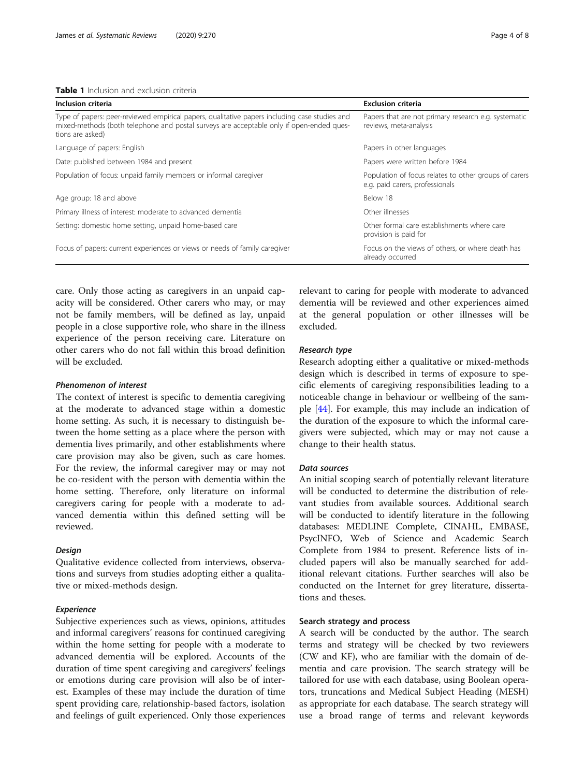#### <span id="page-3-0"></span>Table 1 Inclusion and exclusion criteria

| Inclusion criteria                                                                                                                                                                                            | <b>Exclusion criteria</b>                                                                |
|---------------------------------------------------------------------------------------------------------------------------------------------------------------------------------------------------------------|------------------------------------------------------------------------------------------|
| Type of papers: peer-reviewed empirical papers, qualitative papers including case studies and<br>mixed-methods (both telephone and postal surveys are acceptable only if open-ended ques-<br>tions are asked) | Papers that are not primary research e.g. systematic<br>reviews, meta-analysis           |
| Language of papers: English                                                                                                                                                                                   | Papers in other languages                                                                |
| Date: published between 1984 and present                                                                                                                                                                      | Papers were written before 1984                                                          |
| Population of focus: unpaid family members or informal caregiver                                                                                                                                              | Population of focus relates to other groups of carers<br>e.g. paid carers, professionals |
| Age group: 18 and above                                                                                                                                                                                       | Below 18                                                                                 |
| Primary illness of interest: moderate to advanced dementia                                                                                                                                                    | Other illnesses                                                                          |
| Setting: domestic home setting, unpaid home-based care                                                                                                                                                        | Other formal care establishments where care<br>provision is paid for                     |
| Focus of papers: current experiences or views or needs of family caregiver                                                                                                                                    | Focus on the views of others, or where death has<br>already occurred                     |

care. Only those acting as caregivers in an unpaid capacity will be considered. Other carers who may, or may not be family members, will be defined as lay, unpaid people in a close supportive role, who share in the illness experience of the person receiving care. Literature on other carers who do not fall within this broad definition will be excluded.

#### Phenomenon of interest

The context of interest is specific to dementia caregiving at the moderate to advanced stage within a domestic home setting. As such, it is necessary to distinguish between the home setting as a place where the person with dementia lives primarily, and other establishments where care provision may also be given, such as care homes. For the review, the informal caregiver may or may not be co-resident with the person with dementia within the home setting. Therefore, only literature on informal caregivers caring for people with a moderate to advanced dementia within this defined setting will be reviewed.

#### Design

Qualitative evidence collected from interviews, observations and surveys from studies adopting either a qualitative or mixed-methods design.

#### Experience

Subjective experiences such as views, opinions, attitudes and informal caregivers' reasons for continued caregiving within the home setting for people with a moderate to advanced dementia will be explored. Accounts of the duration of time spent caregiving and caregivers' feelings or emotions during care provision will also be of interest. Examples of these may include the duration of time spent providing care, relationship-based factors, isolation and feelings of guilt experienced. Only those experiences relevant to caring for people with moderate to advanced dementia will be reviewed and other experiences aimed at the general population or other illnesses will be excluded.

#### Research type

Research adopting either a qualitative or mixed-methods design which is described in terms of exposure to specific elements of caregiving responsibilities leading to a noticeable change in behaviour or wellbeing of the sample [[44\]](#page-7-0). For example, this may include an indication of the duration of the exposure to which the informal caregivers were subjected, which may or may not cause a change to their health status.

#### Data sources

An initial scoping search of potentially relevant literature will be conducted to determine the distribution of relevant studies from available sources. Additional search will be conducted to identify literature in the following databases: MEDLINE Complete, CINAHL, EMBASE, PsycINFO, Web of Science and Academic Search Complete from 1984 to present. Reference lists of included papers will also be manually searched for additional relevant citations. Further searches will also be conducted on the Internet for grey literature, dissertations and theses.

#### Search strategy and process

A search will be conducted by the author. The search terms and strategy will be checked by two reviewers (CW and KF), who are familiar with the domain of dementia and care provision. The search strategy will be tailored for use with each database, using Boolean operators, truncations and Medical Subject Heading (MESH) as appropriate for each database. The search strategy will use a broad range of terms and relevant keywords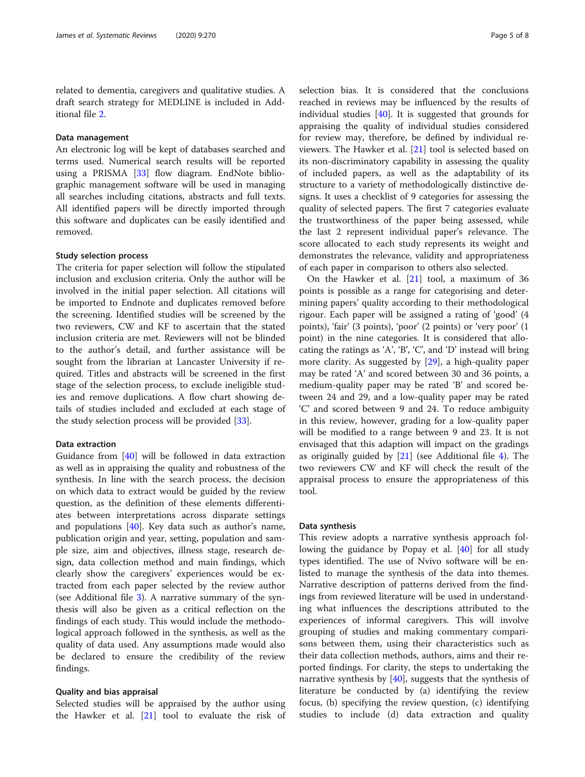related to dementia, caregivers and qualitative studies. A draft search strategy for MEDLINE is included in Additional file [2.](#page-5-0)

#### Data management

An electronic log will be kept of databases searched and terms used. Numerical search results will be reported using a PRISMA [\[33\]](#page-6-0) flow diagram. EndNote bibliographic management software will be used in managing all searches including citations, abstracts and full texts. All identified papers will be directly imported through this software and duplicates can be easily identified and removed.

#### Study selection process

The criteria for paper selection will follow the stipulated inclusion and exclusion criteria. Only the author will be involved in the initial paper selection. All citations will be imported to Endnote and duplicates removed before the screening. Identified studies will be screened by the two reviewers, CW and KF to ascertain that the stated inclusion criteria are met. Reviewers will not be blinded to the author's detail, and further assistance will be sought from the librarian at Lancaster University if required. Titles and abstracts will be screened in the first stage of the selection process, to exclude ineligible studies and remove duplications. A flow chart showing details of studies included and excluded at each stage of the study selection process will be provided [\[33](#page-6-0)].

#### Data extraction

Guidance from [\[40\]](#page-7-0) will be followed in data extraction as well as in appraising the quality and robustness of the synthesis. In line with the search process, the decision on which data to extract would be guided by the review question, as the definition of these elements differentiates between interpretations across disparate settings and populations [[40\]](#page-7-0). Key data such as author's name, publication origin and year, setting, population and sample size, aim and objectives, illness stage, research design, data collection method and main findings, which clearly show the caregivers' experiences would be extracted from each paper selected by the review author (see Additional file [3\)](#page-5-0). A narrative summary of the synthesis will also be given as a critical reflection on the findings of each study. This would include the methodological approach followed in the synthesis, as well as the quality of data used. Any assumptions made would also be declared to ensure the credibility of the review findings.

#### Quality and bias appraisal

Selected studies will be appraised by the author using the Hawker et al.  $[21]$  $[21]$  tool to evaluate the risk of

selection bias. It is considered that the conclusions reached in reviews may be influenced by the results of individual studies [[40\]](#page-7-0). It is suggested that grounds for appraising the quality of individual studies considered for review may, therefore, be defined by individual reviewers. The Hawker et al. [\[21](#page-6-0)] tool is selected based on its non-discriminatory capability in assessing the quality of included papers, as well as the adaptability of its structure to a variety of methodologically distinctive designs. It uses a checklist of 9 categories for assessing the quality of selected papers. The first 7 categories evaluate the trustworthiness of the paper being assessed, while the last 2 represent individual paper's relevance. The score allocated to each study represents its weight and demonstrates the relevance, validity and appropriateness of each paper in comparison to others also selected.

On the Hawker et al. [\[21\]](#page-6-0) tool, a maximum of 36 points is possible as a range for categorising and determining papers' quality according to their methodological rigour. Each paper will be assigned a rating of 'good' (4 points), 'fair' (3 points), 'poor' (2 points) or 'very poor' (1 point) in the nine categories. It is considered that allocating the ratings as 'A', 'B', 'C', and 'D' instead will bring more clarity. As suggested by [[29](#page-6-0)], a high-quality paper may be rated 'A' and scored between 30 and 36 points, a medium-quality paper may be rated 'B' and scored between 24 and 29, and a low-quality paper may be rated 'C' and scored between 9 and 24. To reduce ambiguity in this review, however, grading for a low-quality paper will be modified to a range between 9 and 23. It is not envisaged that this adaption will impact on the gradings as originally guided by [\[21](#page-6-0)] (see Additional file [4\)](#page-5-0). The two reviewers CW and KF will check the result of the appraisal process to ensure the appropriateness of this tool.

#### Data synthesis

This review adopts a narrative synthesis approach following the guidance by Popay et al. [\[40](#page-7-0)] for all study types identified. The use of Nvivo software will be enlisted to manage the synthesis of the data into themes. Narrative description of patterns derived from the findings from reviewed literature will be used in understanding what influences the descriptions attributed to the experiences of informal caregivers. This will involve grouping of studies and making commentary comparisons between them, using their characteristics such as their data collection methods, authors, aims and their reported findings. For clarity, the steps to undertaking the narrative synthesis by [[40\]](#page-7-0), suggests that the synthesis of literature be conducted by (a) identifying the review focus, (b) specifying the review question, (c) identifying studies to include (d) data extraction and quality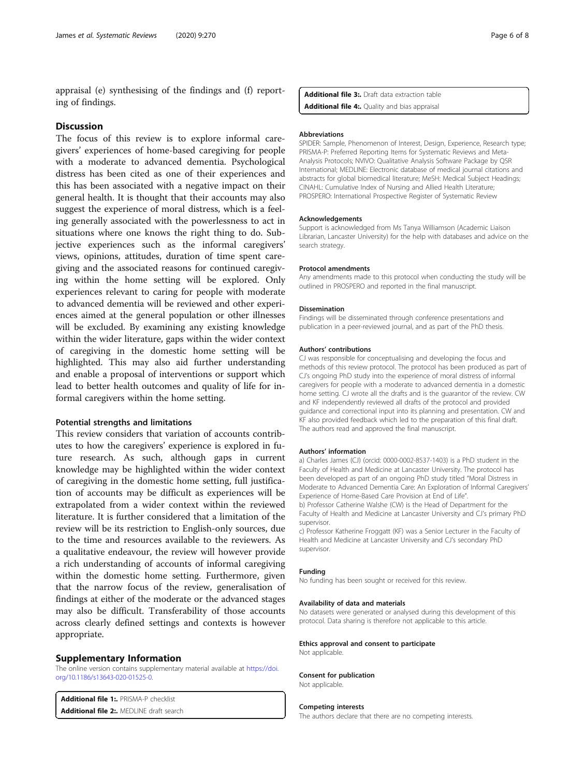<span id="page-5-0"></span>appraisal (e) synthesising of the findings and (f) reporting of findings.

#### **Discussion**

The focus of this review is to explore informal caregivers' experiences of home-based caregiving for people with a moderate to advanced dementia. Psychological distress has been cited as one of their experiences and this has been associated with a negative impact on their general health. It is thought that their accounts may also suggest the experience of moral distress, which is a feeling generally associated with the powerlessness to act in situations where one knows the right thing to do. Subjective experiences such as the informal caregivers' views, opinions, attitudes, duration of time spent caregiving and the associated reasons for continued caregiving within the home setting will be explored. Only experiences relevant to caring for people with moderate to advanced dementia will be reviewed and other experiences aimed at the general population or other illnesses will be excluded. By examining any existing knowledge within the wider literature, gaps within the wider context of caregiving in the domestic home setting will be highlighted. This may also aid further understanding and enable a proposal of interventions or support which lead to better health outcomes and quality of life for informal caregivers within the home setting.

#### Potential strengths and limitations

This review considers that variation of accounts contributes to how the caregivers' experience is explored in future research. As such, although gaps in current knowledge may be highlighted within the wider context of caregiving in the domestic home setting, full justification of accounts may be difficult as experiences will be extrapolated from a wider context within the reviewed literature. It is further considered that a limitation of the review will be its restriction to English-only sources, due to the time and resources available to the reviewers. As a qualitative endeavour, the review will however provide a rich understanding of accounts of informal caregiving within the domestic home setting. Furthermore, given that the narrow focus of the review, generalisation of findings at either of the moderate or the advanced stages may also be difficult. Transferability of those accounts across clearly defined settings and contexts is however appropriate.

#### Supplementary Information

The online version contains supplementary material available at [https://doi.](https://doi.org/10.1186/s13643-020-01525-0) [org/10.1186/s13643-020-01525-0.](https://doi.org/10.1186/s13643-020-01525-0)

Additional file 1:. PRISMA-P checklist Additional file 2:. MEDLINE draft search Additional file 3:. Draft data extraction table Additional file 4:. Quality and bias appraisal

#### Abbreviations

SPIDER: Sample, Phenomenon of Interest, Design, Experience, Research type; PRISMA-P: Preferred Reporting Items for Systematic Reviews and Meta-Analysis Protocols; NVIVO: Qualitative Analysis Software Package by QSR International; MEDLINE: Electronic database of medical journal citations and abstracts for global biomedical literature; MeSH: Medical Subject Headings; CINAHL: Cumulative Index of Nursing and Allied Health Literature; PROSPERO: International Prospective Register of Systematic Review

#### Acknowledgements

Support is acknowledged from Ms Tanya Williamson (Academic Liaison Librarian, Lancaster University) for the help with databases and advice on the search strategy.

#### Protocol amendments

Any amendments made to this protocol when conducting the study will be outlined in PROSPERO and reported in the final manuscript.

#### Dissemination

Findings will be disseminated through conference presentations and publication in a peer-reviewed journal, and as part of the PhD thesis.

#### Authors' contributions

CJ was responsible for conceptualising and developing the focus and methods of this review protocol. The protocol has been produced as part of CJ's ongoing PhD study into the experience of moral distress of informal caregivers for people with a moderate to advanced dementia in a domestic home setting. CJ wrote all the drafts and is the guarantor of the review. CW and KF independently reviewed all drafts of the protocol and provided guidance and correctional input into its planning and presentation. CW and KF also provided feedback which led to the preparation of this final draft. The authors read and approved the final manuscript.

#### Authors' information

a) Charles James (CJ) (orcid: 0000-0002-8537-1403) is a PhD student in the Faculty of Health and Medicine at Lancaster University. The protocol has been developed as part of an ongoing PhD study titled "Moral Distress in Moderate to Advanced Dementia Care: An Exploration of Informal Caregivers' Experience of Home-Based Care Provision at End of Life".

b) Professor Catherine Walshe (CW) is the Head of Department for the Faculty of Health and Medicine at Lancaster University and CJ's primary PhD supervisor.

c) Professor Katherine Froggatt (KF) was a Senior Lecturer in the Faculty of Health and Medicine at Lancaster University and CJ's secondary PhD supervisor.

#### Funding

No funding has been sought or received for this review.

#### Availability of data and materials

No datasets were generated or analysed during this development of this protocol. Data sharing is therefore not applicable to this article.

Ethics approval and consent to participate Not applicable.

#### Consent for publication

Not applicable.

#### Competing interests

The authors declare that there are no competing interests.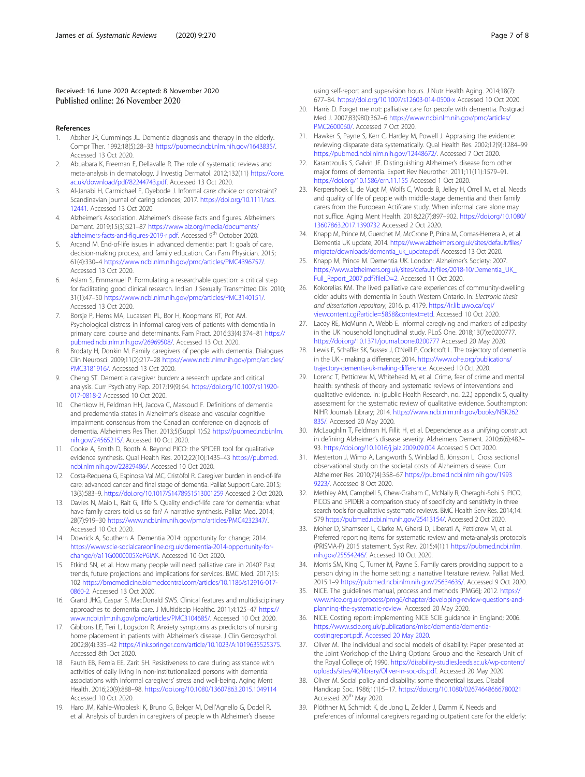#### <span id="page-6-0"></span>Received: 16 June 2020 Accepted: 8 November 2020 Published online: 26 November 2020

#### References

- 1. Absher JR, Cummings JL. Dementia diagnosis and therapy in the elderly. Compr Ther. 1992;18(5):28–33 <https://pubmed.ncbi.nlm.nih.gov/1643835/>. Accessed 13 Oct 2020.
- 2. Abuabara K, Freeman E, Dellavalle R. The role of systematic reviews and meta-analysis in dermatology. J Investig Dermatol. 2012;132(11) [https://core.](https://core.ac.uk/download/pdf/82244743.pdf) [ac.uk/download/pdf/82244743.pdf.](https://core.ac.uk/download/pdf/82244743.pdf) Accessed 13 Oct 2020.
- Al-Janabi H, Carmichael F, Oyebode J. Informal care: choice or constraint? Scandinavian journal of caring sciences; 2017. [https://doi.org/10.1111/scs.](https://doi.org/10.1111/scs.12441) [12441.](https://doi.org/10.1111/scs.12441) Accessed 13 Oct 2020.
- 4. Alzheimer's Association. Alzheimer's disease facts and figures. Alzheimers Dement. 2019;15(3):321–87 [https://www.alz.org/media/documents/](https://www.alz.org/media/documents/alzheimers-facts-and-figures-2019-r.pdf) [alzheimers-facts-and-figures-2019-r.pdf](https://www.alz.org/media/documents/alzheimers-facts-and-figures-2019-r.pdf). Accessed 9<sup>th</sup> October 2020.
- 5. Arcand M. End-of-life issues in advanced dementia: part 1: goals of care, decision-making process, and family education. Can Fam Physician. 2015; 61(4):330–4 <https://www.ncbi.nlm.nih.gov/pmc/articles/PMC4396757/>. Accessed 13 Oct 2020.
- 6. Aslam S, Emmanuel P. Formulating a researchable question: a critical step for facilitating good clinical research. Indian J Sexually Transmitted Dis. 2010; 31(1):47–50 <https://www.ncbi.nlm.nih.gov/pmc/articles/PMC3140151/>. Accessed 13 Oct 2020.
- 7. Borsje P, Hems MA, Lucassen PL, Bor H, Koopmans RT, Pot AM. Psychological distress in informal caregivers of patients with dementia in primary care: course and determinants. Fam Pract. 2016;33(4):374–81 [https://](https://pubmed.ncbi.nlm.nih.gov/26969508/) [pubmed.ncbi.nlm.nih.gov/26969508/](https://pubmed.ncbi.nlm.nih.gov/26969508/). Accessed 13 Oct 2020.
- Brodaty H, Donkin M. Family caregivers of people with dementia. Dialogues Clin Neurosci. 2009;11(2):217–28 [https://www.ncbi.nlm.nih.gov/pmc/articles/](https://www.ncbi.nlm.nih.gov/pmc/articles/PMC3181916/) [PMC3181916/](https://www.ncbi.nlm.nih.gov/pmc/articles/PMC3181916/). Accessed 13 Oct 2020.
- 9. Cheng ST. Dementia caregiver burden: a research update and critical analysis. Curr Psychiatry Rep. 2017;19(9):64. [https://doi.org/10.1007/s11920-](https://doi.org/10.1007/s11920-017-0818-2) [017-0818-2](https://doi.org/10.1007/s11920-017-0818-2) Accessed 10 Oct 2020.
- 10. Chertkow H, Feldman HH, Jacova C, Massoud F. Definitions of dementia and predementia states in Alzheimer's disease and vascular cognitive impairment: consensus from the Canadian conference on diagnosis of dementia. Alzheimers Res Ther. 2013;5(Suppl 1):S2 [https://pubmed.ncbi.nlm.](https://pubmed.ncbi.nlm.nih.gov/24565215/) [nih.gov/24565215/.](https://pubmed.ncbi.nlm.nih.gov/24565215/) Accessed 10 Oct 2020.
- 11. Cooke A, Smith D, Booth A. Beyond PICO: the SPIDER tool for qualitative evidence synthesis. Qual Health Res. 2012;22(10):1435–43 [https://pubmed.](https://pubmed.ncbi.nlm.nih.gov/22829486/) [ncbi.nlm.nih.gov/22829486/.](https://pubmed.ncbi.nlm.nih.gov/22829486/) Accessed 10 Oct 2020.
- 12. Costa-Requena G, Espinosa Val MC, Cristòfol R. Caregiver burden in end-of-life care: advanced cancer and final stage of dementia. Palliat Support Care. 2015; 13(3):583–9. <https://doi.org/10.1017/S1478951513001259> Accessed 2 Oct 2020.
- 13. Davies N, Maio L, Rait G, Iliffe S. Quality end-of-life care for dementia: what have family carers told us so far? A narrative synthesis. Palliat Med. 2014; 28(7):919–30 [https://www.ncbi.nlm.nih.gov/pmc/articles/PMC4232347/.](https://www.ncbi.nlm.nih.gov/pmc/articles/PMC4232347/) Accessed 10 Oct 2020.
- 14. Dowrick A, Southern A. Dementia 2014: opportunity for change; 2014. [https://www.scie-socialcareonline.org.uk/dementia-2014-opportunity-for](https://www.scie-socialcareonline.org.uk/dementia-2014-opportunity-for-change/r/a11G0000005XeP6IAK)[change/r/a11G0000005XeP6IAK](https://www.scie-socialcareonline.org.uk/dementia-2014-opportunity-for-change/r/a11G0000005XeP6IAK). Accessed 10 Oct 2020.
- 15. Etkind SN, et al. How many people will need palliative care in 2040? Past trends, future projections and implications for services. BMC Med. 2017;15: 102 [https://bmcmedicine.biomedcentral.com/articles/10.1186/s12916-017-](https://bmcmedicine.biomedcentral.com/articles/10.1186/s12916-017-0860-2) [0860-2.](https://bmcmedicine.biomedcentral.com/articles/10.1186/s12916-017-0860-2) Accessed 13 Oct 2020.
- 16. Grand JHG, Caspar S, MacDonald SWS. Clinical features and multidisciplinary approaches to dementia care. J Multidiscip Healthc. 2011;4:125–47 [https://](https://www.ncbi.nlm.nih.gov/pmc/articles/PMC3104685/) [www.ncbi.nlm.nih.gov/pmc/articles/PMC3104685/.](https://www.ncbi.nlm.nih.gov/pmc/articles/PMC3104685/) Accessed 10 Oct 2020.
- 17. Gibbons LE, Teri L, Logsdon R. Anxiety symptoms as predictors of nursing home placement in patients with Alzheimer's disease. J Clin Geropsychol. 2002;8(4):335–42 <https://link.springer.com/article/10.1023/A:1019635525375>. Accessed 8th Oct 2020.
- 18. Fauth EB, Femia EE, Zarit SH. Resistiveness to care during assistance with activities of daily living in non-institutionalized persons with dementia: associations with informal caregivers' stress and well-being. Aging Ment Health. 2016;20(9):888–98. <https://doi.org/10.1080/13607863.2015.1049114> Accessed 10 Oct 2020.
- 19. Haro JM, Kahle-Wrobleski K, Bruno G, Belger M, Dell'Agnello G, Dodel R, et al. Analysis of burden in caregivers of people with Alzheimer's disease

using self-report and supervision hours. J Nutr Health Aging. 2014;18(7): 677–84. <https://doi.org/10.1007/s12603-014-0500-x> Accessed 10 Oct 2020.

- 20. Harris D. Forget me not: palliative care for people with dementia. Postgrad Med J. 2007;83(980):362–6 [https://www.ncbi.nlm.nih.gov/pmc/articles/](https://www.ncbi.nlm.nih.gov/pmc/articles/PMC2600060/) [PMC2600060/](https://www.ncbi.nlm.nih.gov/pmc/articles/PMC2600060/). Accessed 7 Oct 2020.
- 21. Hawker S, Payne S, Kerr C, Hardey M, Powell J. Appraising the evidence: reviewing disparate data systematically. Qual Health Res. 2002;12(9):1284–99 [https://pubmed.ncbi.nlm.nih.gov/12448672/.](https://pubmed.ncbi.nlm.nih.gov/12448672/) Accessed 7 Oct 2020.
- 22. Karantzoulis S, Galvin JE. Distinguishing Alzheimer's disease from other major forms of dementia. Expert Rev Neurother. 2011;11(11):1579–91. <https://doi.org/10.1586/ern.11.155> Accessed 1 Oct 2020.
- 23. Kerpershoek L, de Vugt M, Wolfs C, Woods B, Jelley H, Orrell M, et al. Needs and quality of life of people with middle-stage dementia and their family carers from the European Actifcare study. When informal care alone may not suffice. Aging Ment Health. 2018;22(7):897–902. [https://doi.org/10.1080/](https://doi.org/10.1080/13607863.2017.1390732) [13607863.2017.1390732](https://doi.org/10.1080/13607863.2017.1390732) Accessed 2 Oct 2020.
- 24. Knapp M, Prince M, Guerchet M, McCrone P, Prina M, Comas-Herrera A, et al. Dementia UK update; 2014. [https://www.alzheimers.org.uk/sites/default/files/](https://www.alzheimers.org.uk/sites/default/files/migrate/downloads/dementia_uk_update.pdf) [migrate/downloads/dementia\\_uk\\_update.pdf](https://www.alzheimers.org.uk/sites/default/files/migrate/downloads/dementia_uk_update.pdf). Accessed 13 Oct 2020.
- 25. Knapp M, Prince M. Dementia UK. London: Alzheimer's Society; 2007. [https://www.alzheimers.org.uk/sites/default/files/2018-10/Dementia\\_UK\\_](https://www.alzheimers.org.uk/sites/default/files/2018-10/Dementia_UK_Full_Report_2007.pdf?fileID=2) [Full\\_Report\\_2007.pdf?fileID=2.](https://www.alzheimers.org.uk/sites/default/files/2018-10/Dementia_UK_Full_Report_2007.pdf?fileID=2) Accessed 11 Oct 2020.
- 26. Kokorelias KM. The lived palliative care experiences of community-dwelling older adults with dementia in South Western Ontario. In: Electronic thesis and dissertation repository; 2016. p. 4179. [https://ir.lib.uwo.ca/cgi/](https://ir.lib.uwo.ca/cgi/viewcontent.cgi?article=5858&context=etd) [viewcontent.cgi?article=5858&context=etd](https://ir.lib.uwo.ca/cgi/viewcontent.cgi?article=5858&context=etd). Accessed 10 Oct 2020.
- 27. Lacey RE, McMunn A, Webb E. Informal caregiving and markers of adiposity in the UK household longitudinal study. PLoS One. 2018;13(7):e0200777. <https://doi.org/10.1371/journal.pone.0200777> Accessed 20 May 2020.
- 28. Lewis F, Schaffer SK, Sussex J, O'Neill P, Cockcroft L. The trajectory of dementia in the UK - making a difference; 2014. [https://www.ohe.org/publications/](https://www.ohe.org/publications/trajectory-dementia-uk-making-difference) [trajectory-dementia-uk-making-difference](https://www.ohe.org/publications/trajectory-dementia-uk-making-difference). Accessed 10 Oct 2020.
- 29. Lorenc T, Petticrew M, Whitehead M, et al. Crime, fear of crime and mental health: synthesis of theory and systematic reviews of interventions and qualitative evidence. In: (public Health Research, no. 2.2.) appendix 5, quality assessment for the systematic review of qualitative evidence. Southampton: NIHR Journals Library; 2014. [https://www.ncbi.nlm.nih.gov/books/NBK262](https://www.ncbi.nlm.nih.gov/books/NBK262835/) [835/](https://www.ncbi.nlm.nih.gov/books/NBK262835/). Accessed 20 May 2020.
- 30. McLaughlin T, Feldman H, Fillit H, et al. Dependence as a unifying construct in defining Alzheimer's disease severity. Alzheimers Dement. 2010;6(6):482– 93. <https://doi.org/10.1016/j.jalz.2009.09.004> Accessed 5 Oct 2020.
- 31. Mesterton J, Wimo A, Langworth S, Winblad B, Jönsson L. Cross sectional observational study on the societal costs of Alzheimers disease. Curr Alzheimer Res. 2010;7(4):358–67 [https://pubmed.ncbi.nlm.nih.gov/1993](https://pubmed.ncbi.nlm.nih.gov/19939223/) [9223/.](https://pubmed.ncbi.nlm.nih.gov/19939223/) Accessed 8 Oct 2020.
- 32. Methley AM, Campbell S, Chew-Graham C, McNally R, Cheraghi-Sohi S. PICO, PICOS and SPIDER: a comparison study of specificity and sensitivity in three search tools for qualitative systematic reviews. BMC Health Serv Res. 2014;14: 579 <https://pubmed.ncbi.nlm.nih.gov/25413154/>. Accessed 2 Oct 2020.
- 33. Moher D, Shamseer L, Clarke M, Ghersi D, Liberati A, Petticrew M, et al. Preferred reporting items for systematic review and meta-analysis protocols (PRISMA-P) 2015 statement. Syst Rev. 2015;4(1):1 [https://pubmed.ncbi.nlm.](https://pubmed.ncbi.nlm.nih.gov/25554246/) [nih.gov/25554246/.](https://pubmed.ncbi.nlm.nih.gov/25554246/) Accessed 10 Oct 2020.
- 34. Morris SM, King C, Turner M, Payne S. Family carers providing support to a person dying in the home setting: a narrative literature review. Palliat Med. 2015:1–9 <https://pubmed.ncbi.nlm.nih.gov/25634635/>. Accessed 9 Oct 2020.
- 35. NICE. The guidelines manual, process and methods [PMG6]; 2012. [https://](https://www.nice.org.uk/process/pmg6/chapter/developing-review-questions-and-planning-the-systematic-review) [www.nice.org.uk/process/pmg6/chapter/developing-review-questions-and](https://www.nice.org.uk/process/pmg6/chapter/developing-review-questions-and-planning-the-systematic-review)[planning-the-systematic-review.](https://www.nice.org.uk/process/pmg6/chapter/developing-review-questions-and-planning-the-systematic-review) Accessed 20 May 2020.
- 36. NICE. Costing report: implementing NICE SCIE guidance in England; 2006. [https://www.scie.org.uk/publications/misc/dementia/dementia](https://www.scie.org.uk/publications/misc/dementia/dementia-costingreport.pdf.%20Accessed%2020th%20May%202020)[costingreport.pdf. Accessed 20 May 2020.](https://www.scie.org.uk/publications/misc/dementia/dementia-costingreport.pdf.%20Accessed%2020th%20May%202020)
- 37. Oliver M. The individual and social models of disability: Paper presented at the Joint Workshop of the Living Options Group and the Research Unit of the Royal College of; 1990. [https://disability-studies.leeds.ac.uk/wp-content/](https://disability-studies.leeds.ac.uk/wp-content/uploads/sites/40/library/Oliver-in-soc-dis.pdf) [uploads/sites/40/library/Oliver-in-soc-dis.pdf](https://disability-studies.leeds.ac.uk/wp-content/uploads/sites/40/library/Oliver-in-soc-dis.pdf). Accessed 20 May 2020.
- 38. Oliver M. Social policy and disability: some theoretical issues. Disabil Handicap Soc. 1986;1(1):5–17. <https://doi.org/10.1080/02674648666780021> Accessed 20<sup>th</sup> May 2020.
- 39. Plöthner M, Schmidt K, de Jong L, Zeilder J, Damm K. Needs and preferences of informal caregivers regarding outpatient care for the elderly: